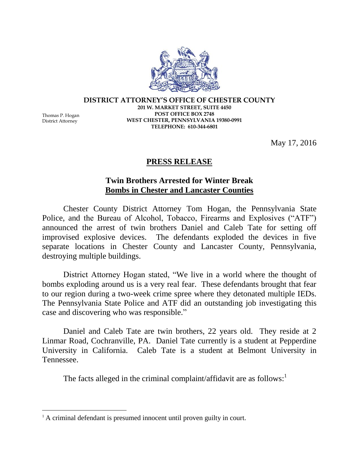**DISTRICT ATTORNEY'S OFFICE OF CHESTER COUNTY 201 W. MARKET STREET, SUITE 4450 POST OFFICE BOX 2748 WEST CHESTER, PENNSYLVANIA 19380-0991 TELEPHONE: 610-344-6801**

Thomas P. Hogan District Attorney

 $\overline{a}$ 

May 17, 2016

## **PRESS RELEASE**

## **Twin Brothers Arrested for Winter Break Bombs in Chester and Lancaster Counties**

Chester County District Attorney Tom Hogan, the Pennsylvania State Police, and the Bureau of Alcohol, Tobacco, Firearms and Explosives ("ATF") announced the arrest of twin brothers Daniel and Caleb Tate for setting off improvised explosive devices. The defendants exploded the devices in five separate locations in Chester County and Lancaster County, Pennsylvania, destroying multiple buildings.

District Attorney Hogan stated, "We live in a world where the thought of bombs exploding around us is a very real fear. These defendants brought that fear to our region during a two-week crime spree where they detonated multiple IEDs. The Pennsylvania State Police and ATF did an outstanding job investigating this case and discovering who was responsible."

Daniel and Caleb Tate are twin brothers, 22 years old. They reside at 2 Linmar Road, Cochranville, PA. Daniel Tate currently is a student at Pepperdine University in California. Caleb Tate is a student at Belmont University in Tennessee.

The facts alleged in the criminal complaint/affidavit are as follows:<sup>1</sup>

<sup>&</sup>lt;sup>1</sup> A criminal defendant is presumed innocent until proven guilty in court.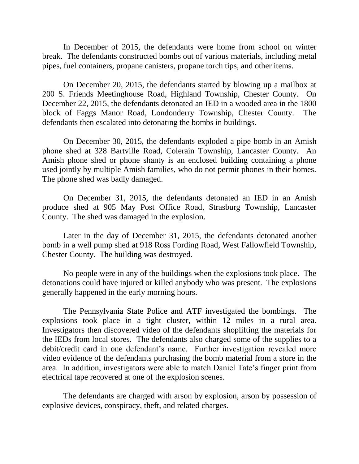In December of 2015, the defendants were home from school on winter break. The defendants constructed bombs out of various materials, including metal pipes, fuel containers, propane canisters, propane torch tips, and other items.

On December 20, 2015, the defendants started by blowing up a mailbox at 200 S. Friends Meetinghouse Road, Highland Township, Chester County. On December 22, 2015, the defendants detonated an IED in a wooded area in the 1800 block of Faggs Manor Road, Londonderry Township, Chester County. The defendants then escalated into detonating the bombs in buildings.

On December 30, 2015, the defendants exploded a pipe bomb in an Amish phone shed at 328 Bartville Road, Colerain Township, Lancaster County. An Amish phone shed or phone shanty is an enclosed building containing a phone used jointly by multiple Amish families, who do not permit phones in their homes. The phone shed was badly damaged.

On December 31, 2015, the defendants detonated an IED in an Amish produce shed at 905 May Post Office Road, Strasburg Township, Lancaster County. The shed was damaged in the explosion.

Later in the day of December 31, 2015, the defendants detonated another bomb in a well pump shed at 918 Ross Fording Road, West Fallowfield Township, Chester County. The building was destroyed.

No people were in any of the buildings when the explosions took place. The detonations could have injured or killed anybody who was present. The explosions generally happened in the early morning hours.

The Pennsylvania State Police and ATF investigated the bombings. The explosions took place in a tight cluster, within 12 miles in a rural area. Investigators then discovered video of the defendants shoplifting the materials for the IEDs from local stores. The defendants also charged some of the supplies to a debit/credit card in one defendant's name. Further investigation revealed more video evidence of the defendants purchasing the bomb material from a store in the area. In addition, investigators were able to match Daniel Tate's finger print from electrical tape recovered at one of the explosion scenes.

The defendants are charged with arson by explosion, arson by possession of explosive devices, conspiracy, theft, and related charges.